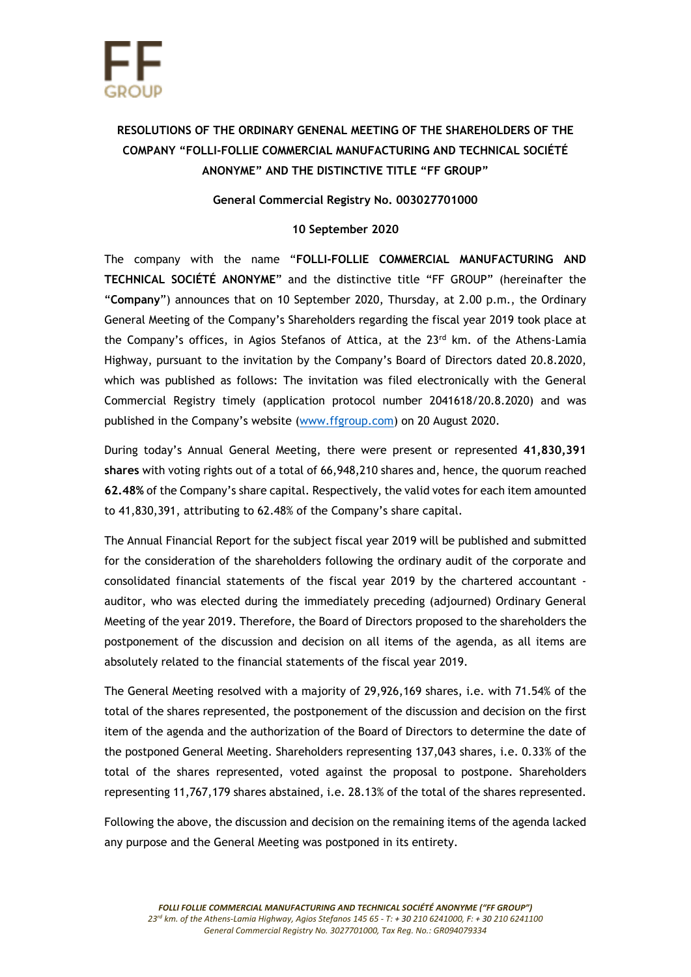

## **RESOLUTIONS OF THE ORDINARY GENENAL MEETING OF THE SHAREHOLDERS OF THE COMPANY "FOLLI-FOLLIE COMMERCIAL MANUFACTURING AND TECHNICAL SOCIÉTÉ ANONYME" AND THE DISTINCTIVE TITLE "FF GROUP"**

## **General Commercial Registry No. 003027701000**

## **10 September 2020**

The company with the name "**FOLLI-FOLLIE COMMERCIAL MANUFACTURING AND TECHNICAL SOCIÉTÉ ANONYME**" and the distinctive title "FF GROUP" (hereinafter the "**Company**") announces that on 10 September 2020, Thursday, at 2.00 p.m., the Ordinary General Meeting of the Company's Shareholders regarding the fiscal year 2019 took place at the Company's offices, in Agios Stefanos of Attica, at the 23<sup>rd</sup> km. of the Athens-Lamia Highway, pursuant to the invitation by the Company's Board of Directors dated 20.8.2020, which was published as follows: The invitation was filed electronically with the General Commercial Registry timely (application protocol number 2041618/20.8.2020) and was published in the Company's website ([www.ffgroup.com\)](http://www.ffgroup.com/) on 20 August 2020.

During today's Annual General Meeting, there were present or represented **41,830,391 shares** with voting rights out of a total of 66,948,210 shares and, hence, the quorum reached **62.48%** of the Company's share capital. Respectively, the valid votes for each item amounted to 41,830,391, attributing to 62.48% of the Company's share capital.

The Annual Financial Report for the subject fiscal year 2019 will be published and submitted for the consideration of the shareholders following the ordinary audit of the corporate and consolidated financial statements of the fiscal year 2019 by the chartered accountant auditor, who was elected during the immediately preceding (adjourned) Ordinary General Meeting of the year 2019. Therefore, the Board of Directors proposed to the shareholders the postponement of the discussion and decision on all items of the agenda, as all items are absolutely related to the financial statements of the fiscal year 2019.

The General Meeting resolved with a majority of 29,926,169 shares, i.e. with 71.54% of the total of the shares represented, the postponement of the discussion and decision on the first item of the agenda and the authorization of the Board of Directors to determine the date of the postponed General Meeting. Shareholders representing 137,043 shares, i.e. 0.33% of the total of the shares represented, voted against the proposal to postpone. Shareholders representing 11,767,179 shares abstained, i.e. 28.13% of the total of the shares represented.

Following the above, the discussion and decision on the remaining items of the agenda lacked any purpose and the General Meeting was postponed in its entirety.